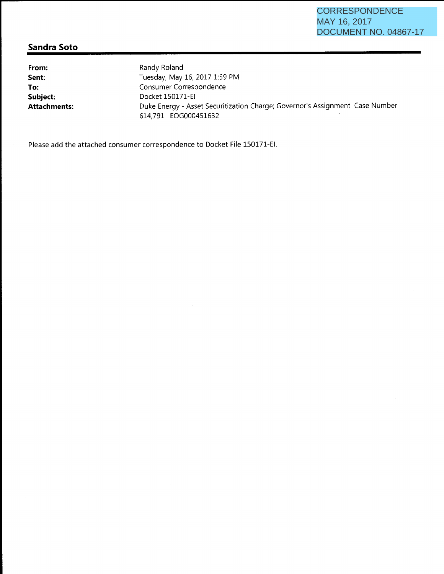### **Sandra Soto**

**From: Sent: To: Subject: Attachments:**  Randy Roland Tuesday, May 16, 2017 1:59 PM Consumer Correspondence Docket 150171-EI Duke Energy- Asset Securitization Charge; Governor's Assignment Case Number 614,791 EOG000451632

Please add the attached consumer correspondence to Docket File 150171-EI.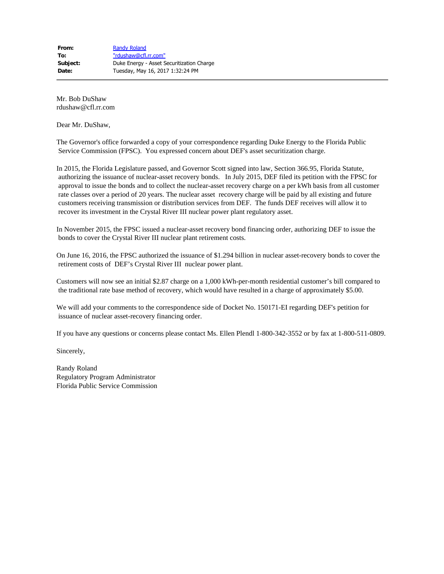Mr. Bob DuShaw rdushaw@cfl.rr.com

Dear Mr. DuShaw,

The Governor's office forwarded a copy of your correspondence regarding Duke Energy to the Florida Public Service Commission (FPSC). You expressed concern about DEF's asset securitization charge.

In 2015, the Florida Legislature passed, and Governor Scott signed into law, Section 366.95, Florida Statute, authorizing the issuance of nuclear-asset recovery bonds. In July 2015, DEF filed its petition with the FPSC for approval to issue the bonds and to collect the nuclear-asset recovery charge on a per kWh basis from all customer rate classes over a period of 20 years. The nuclear asset recovery charge will be paid by all existing and future customers receiving transmission or distribution services from DEF. The funds DEF receives will allow it to recover its investment in the Crystal River III nuclear power plant regulatory asset.

In November 2015, the FPSC issued a nuclear-asset recovery bond financing order, authorizing DEF to issue the bonds to cover the Crystal River III nuclear plant retirement costs.

On June 16, 2016, the FPSC authorized the issuance of \$1.294 billion in nuclear asset-recovery bonds to cover the retirement costs of DEF's Crystal River III nuclear power plant.

Customers will now see an initial \$2.87 charge on a 1,000 kWh-per-month residential customer's bill compared to the traditional rate base method of recovery, which would have resulted in a charge of approximately \$5.00.

We will add your comments to the correspondence side of Docket No. 150171-EI regarding DEF's petition for issuance of nuclear asset-recovery financing order.

If you have any questions or concerns please contact Ms. Ellen Plendl 1-800-342-3552 or by fax at 1-800-511-0809.

Sincerely,

Randy Roland Regulatory Program Administrator Florida Public Service Commission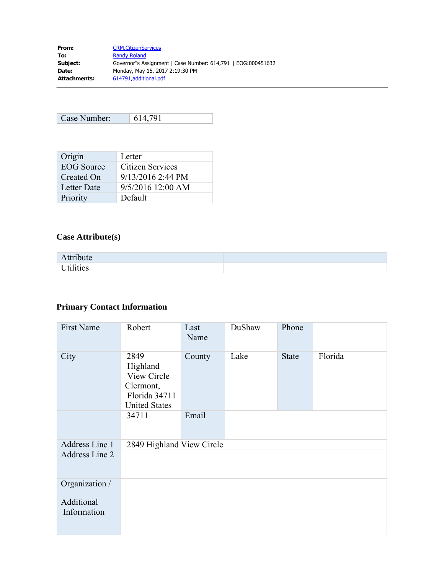| <b>CRM.CitizenServices</b>                                   |
|--------------------------------------------------------------|
| <b>Randy Roland</b>                                          |
| Governor"s Assignment   Case Number: 614,791   EOG:000451632 |
| Monday, May 15, 2017 2:19:30 PM                              |
| 614791, additional.pdf                                       |
|                                                              |

| Case Number: | 614 791 |
|--------------|---------|

| Origin            | Letter              |
|-------------------|---------------------|
| <b>EOG</b> Source | Citizen Services    |
| Created On        | $9/13/2016$ 2:44 PM |
| Letter Date       | $9/5/2016$ 12:00 AM |
| Priority          | Default             |

# **Case Attribute(s)**

| Attribute |  |
|-----------|--|
| Utilities |  |

# **Primary Contact Information**

| <b>First Name</b>         | Robert                                                                                | Last<br>Name | DuShaw | Phone        |         |
|---------------------------|---------------------------------------------------------------------------------------|--------------|--------|--------------|---------|
| City                      | 2849<br>Highland<br>View Circle<br>Clermont,<br>Florida 34711<br><b>United States</b> | County       | Lake   | <b>State</b> | Florida |
|                           | 34711                                                                                 | Email        |        |              |         |
| Address Line 1            | 2849 Highland View Circle                                                             |              |        |              |         |
| Address Line 2            |                                                                                       |              |        |              |         |
| Organization /            |                                                                                       |              |        |              |         |
| Additional<br>Information |                                                                                       |              |        |              |         |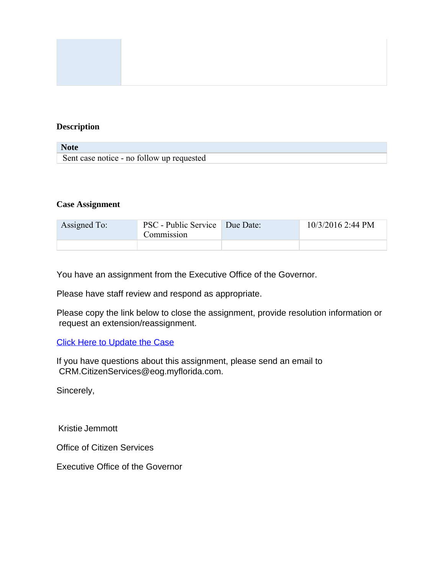### **Description**

| <b>Note</b>                               |  |
|-------------------------------------------|--|
| Sent case notice - no follow up requested |  |

#### **Case Assignment**

| Assigned To: | PSC - Public Service   Due Date:<br>Commission | $10/3/2016$ 2:44 PM |
|--------------|------------------------------------------------|---------------------|
|              |                                                |                     |

You have an assignment from the Executive Office of the Governor.

Please have staff review and respond as appropriate.

Please copy the link below to close the assignment, provide resolution information or request an extension/reassignment.

### [Click Here to Update the Case](https://eogforms.eog.myflorida.com/pages/CaseWorkRequest.aspx?id=f1a6ab1d-e279-e611-80f3-1458d04e9f68)

If you have questions about this assignment, please send an email to CRM.CitizenServices@eog.myflorida.com.

Sincerely,

Kristie Jemmott

Office of Citizen Services

Executive Office of the Governor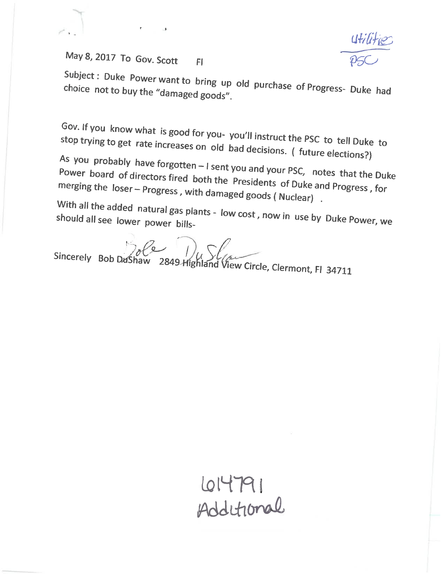May 8, 2017 To Gov. Scott Fl

. -

Subject: Duke Power want to bring up old purchase of Progress- Duke had choice not to buy the "damaged goods".

Gov. If you know what is good for you- you'll instruct the PSC to tell Duke to stop trying to get rate increases on old bad decisions. ( future elections?}

As you probably have forgotten - I sent you and your PSC, notes that the Duke Power board of directors fired both the Presidents of Duke and Progress, for<br>merging the loser – Progress with dameased in the of Duke and Progress, for merging the  $loser - Progress$ , with damaged goods ( Nuclear).

With all the added natural gas plants - low cost , now in use by Duke Power, we<br>should all see lower power bills-

 $Sineerely Bob Dushaw 2849-Hiebland Vie$ 

ighiand view Circle, Clermont, Fl 34711

614791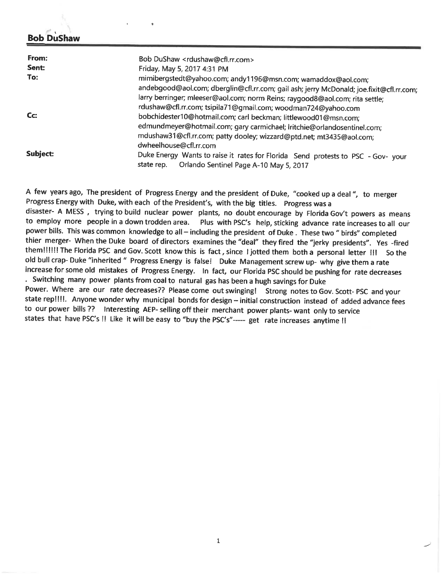### \ **Bob DuShaw**

| From:    | Bob DuShaw <rdushaw@cfl.rr.com></rdushaw@cfl.rr.com>                                                                                     |
|----------|------------------------------------------------------------------------------------------------------------------------------------------|
| Sent:    | Friday, May 5, 2017 4:31 PM                                                                                                              |
| To:      | mimibergstedt@yahoo.com; andy1196@msn.com; wamaddox@aol.com;                                                                             |
|          | andebgood@aol.com; dberglin@cfl.rr.com; gail ash; jerry McDonald; joe.fixit@cfl.rr.com;                                                  |
|          | larry berringer; mleeser@aol.com; norm Reins; raygood8@aol.com; rita settle;                                                             |
|          | rdushaw@cfl.rr.com; tsipila71@gmail.com; woodman724@yahoo.com                                                                            |
| $CC$ :   | bobchidester10@hotmail.com; carl beckman; littlewood01@msn.com;                                                                          |
|          | edmundmeyer@hotmail.com; gary carmichael; lritchie@orlandosentinel.com;                                                                  |
|          | mdushaw31@cfl.rr.com; patty dooley; wizzard@ptd.net; mt3435@aol.com;<br>dwheelhouse@cfl.rr.com                                           |
| Subject: | Duke Energy Wants to raise it rates for Florida Send protests to PSC - Gov- your<br>Orlando Sentinel Page A-10 May 5, 2017<br>state rep. |

<sup>A</sup>few years ago, The president of Progress Energy and the president of Duke, "cooked up a deal ", to merger Progress Energy with Duke, with each of the President's, with the big titles. Progress was <sup>a</sup> disaster- A MESS, trying to build nuclear power plants, no doubt encourage by Florida Gov't powers as means to employ more people in a down trodden area. Plus with PSC's help, sticking advance rate increases to all our Plus with PSC's help, sticking advance rate increases to all our power bills. This was common knowledge to all - including the president of Duke . These two " birds" completed thier merger- When the Duke board of directors examines the "deal" they fired the "jerky presidents". Yes -fired them!!!!!! The Florida PSC and Gov. Scott know this is fact, since I jotted them both a personal letter !!! So the old bull crap- Duke "inherited" Progress Energy is false! Duke Management screw up- why give them a rate increase for some old mistakes of Progress Energy. In fact, our Florida PSC should be pushing for rate decreases . Switching many power plants from coal to natural gas has been a hugh savings for Duke Power. Where are our rate decreases?? Please come out swinging! Strong notes to Gov. Scott- PSC and your state rep!!!!. Anyone wonder why municipal bonds for design- initial construction instead of added advance fees to our power bills?? Interesting AEP- selling off their merchant power plants- want only to service states that have PSC's !! Like it will be easy to "buy the PSC's"----- get rate increases anytime !!